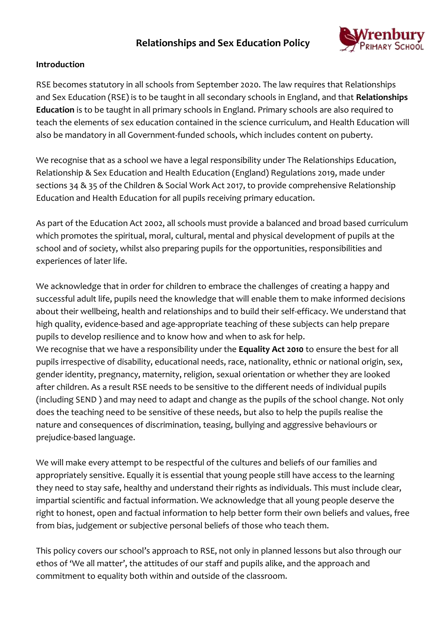# **Relationships and Sex Education Policy**



#### **Introduction**

RSE becomes statutory in all schools from September 2020. The law requires that Relationships and Sex Education (RSE) is to be taught in all secondary schools in England, and that **Relationships Education** is to be taught in all primary schools in England. Primary schools are also required to teach the elements of sex education contained in the science curriculum, and Health Education will also be mandatory in all Government-funded schools, which includes content on puberty.

We recognise that as a school we have a legal responsibility under The Relationships Education, Relationship & Sex Education and Health Education (England) Regulations 2019, made under sections 34 & 35 of the Children & Social Work Act 2017, to provide comprehensive Relationship Education and Health Education for all pupils receiving primary education.

As part of the Education Act 2002, all schools must provide a balanced and broad based curriculum which promotes the spiritual, moral, cultural, mental and physical development of pupils at the school and of society, whilst also preparing pupils for the opportunities, responsibilities and experiences of later life.

We acknowledge that in order for children to embrace the challenges of creating a happy and successful adult life, pupils need the knowledge that will enable them to make informed decisions about their wellbeing, health and relationships and to build their self-efficacy. We understand that high quality, evidence-based and age-appropriate teaching of these subjects can help prepare pupils to develop resilience and to know how and when to ask for help. We recognise that we have a responsibility under the **Equality Act 2010** to ensure the best for all pupils irrespective of disability, educational needs, race, nationality, ethnic or national origin, sex, gender identity, pregnancy, maternity, religion, sexual orientation or whether they are looked after children. As a result RSE needs to be sensitive to the different needs of individual pupils (including SEND ) and may need to adapt and change as the pupils of the school change. Not only does the teaching need to be sensitive of these needs, but also to help the pupils realise the nature and consequences of discrimination, teasing, bullying and aggressive behaviours or

prejudice-based language.

We will make every attempt to be respectful of the cultures and beliefs of our families and appropriately sensitive. Equally it is essential that young people still have access to the learning they need to stay safe, healthy and understand their rights as individuals. This must include clear, impartial scientific and factual information. We acknowledge that all young people deserve the right to honest, open and factual information to help better form their own beliefs and values, free from bias, judgement or subjective personal beliefs of those who teach them.

This policy covers our school's approach to RSE, not only in planned lessons but also through our ethos of 'We all matter', the attitudes of our staff and pupils alike, and the approach and commitment to equality both within and outside of the classroom.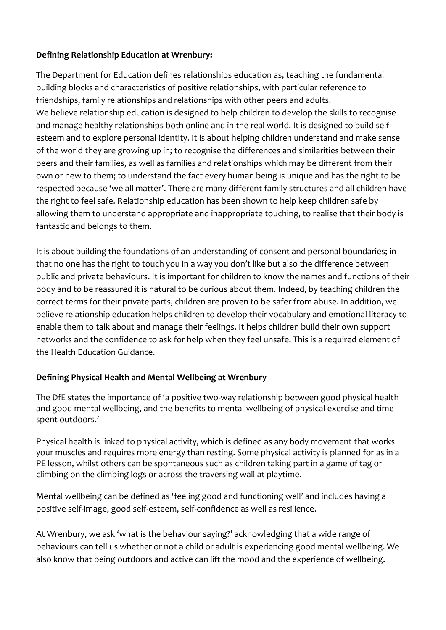#### **Defining Relationship Education at Wrenbury:**

The Department for Education defines relationships education as, teaching the fundamental building blocks and characteristics of positive relationships, with particular reference to friendships, family relationships and relationships with other peers and adults. We believe relationship education is designed to help children to develop the skills to recognise and manage healthy relationships both online and in the real world. It is designed to build selfesteem and to explore personal identity. It is about helping children understand and make sense of the world they are growing up in; to recognise the differences and similarities between their peers and their families, as well as families and relationships which may be different from their own or new to them; to understand the fact every human being is unique and has the right to be respected because 'we all matter'. There are many different family structures and all children have the right to feel safe. Relationship education has been shown to help keep children safe by allowing them to understand appropriate and inappropriate touching, to realise that their body is fantastic and belongs to them.

It is about building the foundations of an understanding of consent and personal boundaries; in that no one has the right to touch you in a way you don't like but also the difference between public and private behaviours. It is important for children to know the names and functions of their body and to be reassured it is natural to be curious about them. Indeed, by teaching children the correct terms for their private parts, children are proven to be safer from abuse. In addition, we believe relationship education helps children to develop their vocabulary and emotional literacy to enable them to talk about and manage their feelings. It helps children build their own support networks and the confidence to ask for help when they feel unsafe. This is a required element of the Health Education Guidance.

## **Defining Physical Health and Mental Wellbeing at Wrenbury**

The DfE states the importance of 'a positive two-way relationship between good physical health and good mental wellbeing, and the benefits to mental wellbeing of physical exercise and time spent outdoors.'

Physical health is linked to physical activity, which is defined as any body movement that works your muscles and requires more energy than resting. Some physical activity is planned for as in a PE lesson, whilst others can be spontaneous such as children taking part in a game of tag or climbing on the climbing logs or across the traversing wall at playtime.

Mental wellbeing can be defined as 'feeling good and functioning well' and includes having a positive self-image, good self-esteem, self-confidence as well as resilience.

At Wrenbury, we ask 'what is the behaviour saying?' acknowledging that a wide range of behaviours can tell us whether or not a child or adult is experiencing good mental wellbeing. We also know that being outdoors and active can lift the mood and the experience of wellbeing.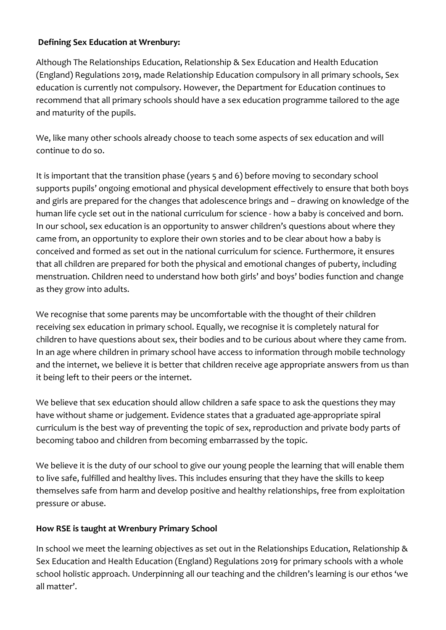#### **Defining Sex Education at Wrenbury:**

Although The Relationships Education, Relationship & Sex Education and Health Education (England) Regulations 2019, made Relationship Education compulsory in all primary schools, Sex education is currently not compulsory. However, the Department for Education continues to recommend that all primary schools should have a sex education programme tailored to the age and maturity of the pupils.

We, like many other schools already choose to teach some aspects of sex education and will continue to do so.

It is important that the transition phase (years 5 and 6) before moving to secondary school supports pupils' ongoing emotional and physical development effectively to ensure that both boys and girls are prepared for the changes that adolescence brings and – drawing on knowledge of the human life cycle set out in the national curriculum for science - how a baby is conceived and born. In our school, sex education is an opportunity to answer children's questions about where they came from, an opportunity to explore their own stories and to be clear about how a baby is conceived and formed as set out in the national curriculum for science. Furthermore, it ensures that all children are prepared for both the physical and emotional changes of puberty, including menstruation. Children need to understand how both girls' and boys' bodies function and change as they grow into adults.

We recognise that some parents may be uncomfortable with the thought of their children receiving sex education in primary school. Equally, we recognise it is completely natural for children to have questions about sex, their bodies and to be curious about where they came from. In an age where children in primary school have access to information through mobile technology and the internet, we believe it is better that children receive age appropriate answers from us than it being left to their peers or the internet.

We believe that sex education should allow children a safe space to ask the questions they may have without shame or judgement. Evidence states that a graduated age-appropriate spiral curriculum is the best way of preventing the topic of sex, reproduction and private body parts of becoming taboo and children from becoming embarrassed by the topic.

We believe it is the duty of our school to give our young people the learning that will enable them to live safe, fulfilled and healthy lives. This includes ensuring that they have the skills to keep themselves safe from harm and develop positive and healthy relationships, free from exploitation pressure or abuse.

## **How RSE is taught at Wrenbury Primary School**

In school we meet the learning objectives as set out in the Relationships Education, Relationship & Sex Education and Health Education (England) Regulations 2019 for primary schools with a whole school holistic approach. Underpinning all our teaching and the children's learning is our ethos 'we all matter'.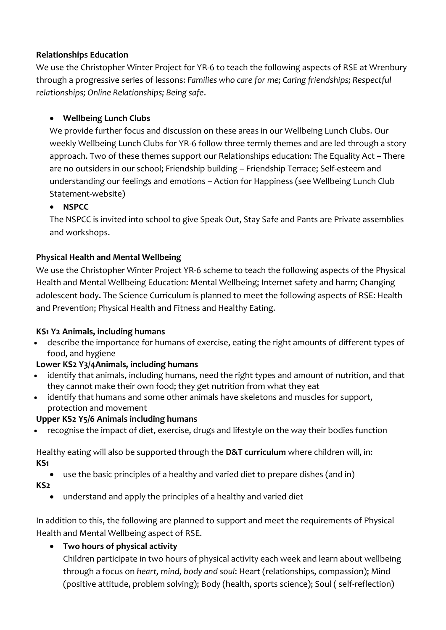#### **Relationships Education**

We use the Christopher Winter Project for YR-6 to teach the following aspects of RSE at Wrenbury through a progressive series of lessons: *Families who care for me; Caring friendships; Respectful relationships; Online Relationships; Being safe*.

### **Wellbeing Lunch Clubs**

We provide further focus and discussion on these areas in our Wellbeing Lunch Clubs. Our weekly Wellbeing Lunch Clubs for YR-6 follow three termly themes and are led through a story approach. Two of these themes support our Relationships education: The Equality Act – There are no outsiders in our school; Friendship building – Friendship Terrace; Self-esteem and understanding our feelings and emotions – Action for Happiness (see Wellbeing Lunch Club Statement-website)

#### **NSPCC**

The NSPCC is invited into school to give Speak Out, Stay Safe and Pants are Private assemblies and workshops.

### **Physical Health and Mental Wellbeing**

We use the Christopher Winter Project YR-6 scheme to teach the following aspects of the Physical Health and Mental Wellbeing Education: Mental Wellbeing; Internet safety and harm; Changing adolescent body**.** The Science Curriculum is planned to meet the following aspects of RSE: Health and Prevention; Physical Health and Fitness and Healthy Eating.

#### **KS1 Y2 Animals, including humans**

 describe the importance for humans of exercise, eating the right amounts of different types of food, and hygiene

#### **Lower KS2 Y3/4Animals, including humans**

- identify that animals, including humans, need the right types and amount of nutrition, and that they cannot make their own food; they get nutrition from what they eat
- identify that humans and some other animals have skeletons and muscles for support, protection and movement

#### **Upper KS2 Y5/6 Animals including humans**

recognise the impact of diet, exercise, drugs and lifestyle on the way their bodies function

Healthy eating will also be supported through the **D&T curriculum** where children will, in: **KS1**

use the basic principles of a healthy and varied diet to prepare dishes (and in)

#### **KS2**

understand and apply the principles of a healthy and varied diet

In addition to this, the following are planned to support and meet the requirements of Physical Health and Mental Wellbeing aspect of RSE.

## **Two hours of physical activity**

Children participate in two hours of physical activity each week and learn about wellbeing through a focus on *heart, mind, body and soul*: Heart (relationships, compassion); Mind (positive attitude, problem solving); Body (health, sports science); Soul ( self-reflection)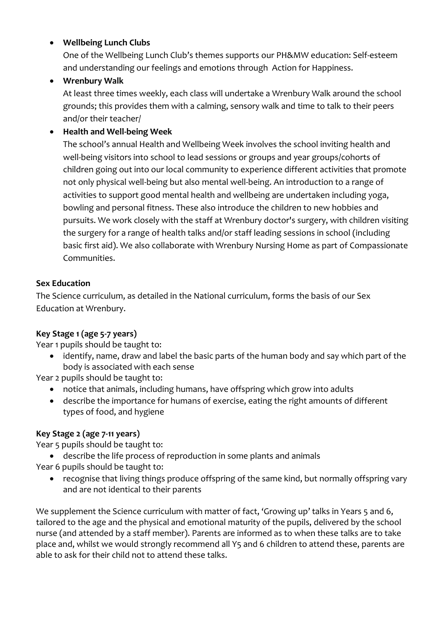#### **Wellbeing Lunch Clubs**

One of the Wellbeing Lunch Club's themes supports our PH&MW education: Self-esteem and understanding our feelings and emotions through Action for Happiness.

## **Wrenbury Walk**

At least three times weekly, each class will undertake a Wrenbury Walk around the school grounds; this provides them with a calming, sensory walk and time to talk to their peers and/or their teacher/

# **Health and Well-being Week**

The school's annual Health and Wellbeing Week involves the school inviting health and well-being visitors into school to lead sessions or groups and year groups/cohorts of children going out into our local community to experience different activities that promote not only physical well-being but also mental well-being. An introduction to a range of activities to support good mental health and wellbeing are undertaken including yoga, bowling and personal fitness. These also introduce the children to new hobbies and pursuits. We work closely with the staff at Wrenbury doctor's surgery, with children visiting the surgery for a range of health talks and/or staff leading sessions in school (including basic first aid). We also collaborate with Wrenbury Nursing Home as part of Compassionate Communities.

## **Sex Education**

The Science curriculum, as detailed in the National curriculum, forms the basis of our Sex Education at Wrenbury.

## **Key Stage 1 (age 5-7 years)**

Year 1 pupils should be taught to:

 identify, name, draw and label the basic parts of the human body and say which part of the body is associated with each sense

Year 2 pupils should be taught to:

- notice that animals, including humans, have offspring which grow into adults
- describe the importance for humans of exercise, eating the right amounts of different types of food, and hygiene

# **Key Stage 2 (age 7-11 years)**

Year 5 pupils should be taught to:

- describe the life process of reproduction in some plants and animals
- Year 6 pupils should be taught to:
	- recognise that living things produce offspring of the same kind, but normally offspring vary and are not identical to their parents

We supplement the Science curriculum with matter of fact, 'Growing up' talks in Years 5 and 6, tailored to the age and the physical and emotional maturity of the pupils, delivered by the school nurse (and attended by a staff member). Parents are informed as to when these talks are to take place and, whilst we would strongly recommend all Y5 and 6 children to attend these, parents are able to ask for their child not to attend these talks.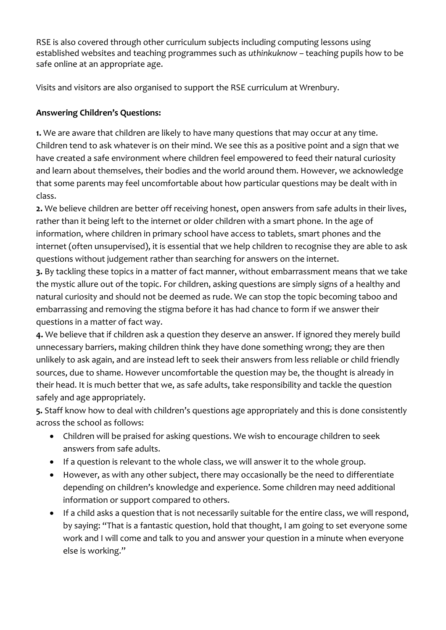RSE is also covered through other curriculum subjects including computing lessons using established websites and teaching programmes such as *uthinkuknow* – teaching pupils how to be safe online at an appropriate age.

Visits and visitors are also organised to support the RSE curriculum at Wrenbury.

### **Answering Children's Questions:**

**1.** We are aware that children are likely to have many questions that may occur at any time. Children tend to ask whatever is on their mind. We see this as a positive point and a sign that we have created a safe environment where children feel empowered to feed their natural curiosity and learn about themselves, their bodies and the world around them. However, we acknowledge that some parents may feel uncomfortable about how particular questions may be dealt with in class.

**2.** We believe children are better off receiving honest, open answers from safe adults in their lives, rather than it being left to the internet or older children with a smart phone. In the age of information, where children in primary school have access to tablets, smart phones and the internet (often unsupervised), it is essential that we help children to recognise they are able to ask questions without judgement rather than searching for answers on the internet.

**3.** By tackling these topics in a matter of fact manner, without embarrassment means that we take the mystic allure out of the topic. For children, asking questions are simply signs of a healthy and natural curiosity and should not be deemed as rude. We can stop the topic becoming taboo and embarrassing and removing the stigma before it has had chance to form if we answer their questions in a matter of fact way.

**4.** We believe that if children ask a question they deserve an answer. If ignored they merely build unnecessary barriers, making children think they have done something wrong; they are then unlikely to ask again, and are instead left to seek their answers from less reliable or child friendly sources, due to shame. However uncomfortable the question may be, the thought is already in their head. It is much better that we, as safe adults, take responsibility and tackle the question safely and age appropriately.

**5.** Staff know how to deal with children's questions age appropriately and this is done consistently across the school as follows:

- Children will be praised for asking questions. We wish to encourage children to seek answers from safe adults.
- If a question is relevant to the whole class, we will answer it to the whole group.
- However, as with any other subject, there may occasionally be the need to differentiate depending on children's knowledge and experience. Some children may need additional information or support compared to others.
- If a child asks a question that is not necessarily suitable for the entire class, we will respond, by saying: "That is a fantastic question, hold that thought, I am going to set everyone some work and I will come and talk to you and answer your question in a minute when everyone else is working."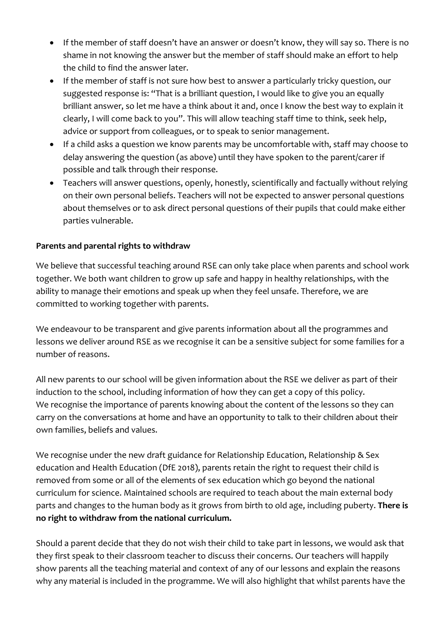- If the member of staff doesn't have an answer or doesn't know, they will say so. There is no shame in not knowing the answer but the member of staff should make an effort to help the child to find the answer later.
- If the member of staff is not sure how best to answer a particularly tricky question, our suggested response is: "That is a brilliant question, I would like to give you an equally brilliant answer, so let me have a think about it and, once I know the best way to explain it clearly, I will come back to you". This will allow teaching staff time to think, seek help, advice or support from colleagues, or to speak to senior management.
- If a child asks a question we know parents may be uncomfortable with, staff may choose to delay answering the question (as above) until they have spoken to the parent/carer if possible and talk through their response.
- Teachers will answer questions, openly, honestly, scientifically and factually without relying on their own personal beliefs. Teachers will not be expected to answer personal questions about themselves or to ask direct personal questions of their pupils that could make either parties vulnerable.

#### **Parents and parental rights to withdraw**

We believe that successful teaching around RSE can only take place when parents and school work together. We both want children to grow up safe and happy in healthy relationships, with the ability to manage their emotions and speak up when they feel unsafe. Therefore, we are committed to working together with parents.

We endeavour to be transparent and give parents information about all the programmes and lessons we deliver around RSE as we recognise it can be a sensitive subject for some families for a number of reasons.

All new parents to our school will be given information about the RSE we deliver as part of their induction to the school, including information of how they can get a copy of this policy. We recognise the importance of parents knowing about the content of the lessons so they can carry on the conversations at home and have an opportunity to talk to their children about their own families, beliefs and values.

We recognise under the new draft guidance for Relationship Education, Relationship & Sex education and Health Education (DfE 2018), parents retain the right to request their child is removed from some or all of the elements of sex education which go beyond the national curriculum for science. Maintained schools are required to teach about the main external body parts and changes to the human body as it grows from birth to old age, including puberty. **There is no right to withdraw from the national curriculum.** 

Should a parent decide that they do not wish their child to take part in lessons, we would ask that they first speak to their classroom teacher to discuss their concerns. Our teachers will happily show parents all the teaching material and context of any of our lessons and explain the reasons why any material is included in the programme. We will also highlight that whilst parents have the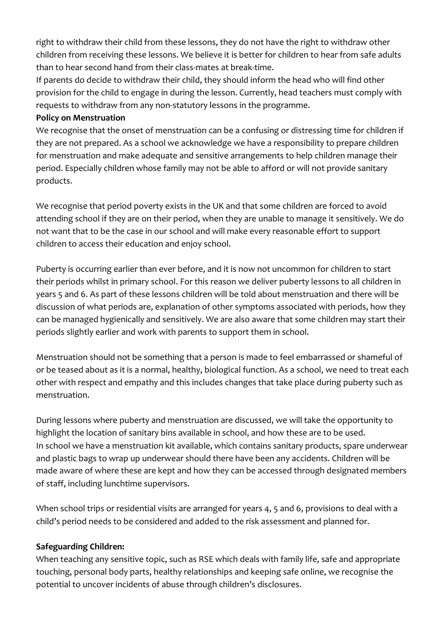right to withdraw their child from these lessons, they do not have the right to withdraw other children from receiving these lessons. We believe it is better for children to hear from safe adults than to hear second hand from their class-mates at break-time.

If parents do decide to withdraw their child, they should inform the head who will find other provision for the child to engage in during the lesson. Currently, head teachers must comply with requests to withdraw from any non-statutory lessons in the programme.

#### **Policy on Menstruation**

We recognise that the onset of menstruation can be a confusing or distressing time for children if they are not prepared. As a school we acknowledge we have a responsibility to prepare children for menstruation and make adequate and sensitive arrangements to help children manage their period. Especially children whose family may not be able to afford or will not provide sanitary products.

We recognise that period poverty exists in the UK and that some children are forced to avoid attending school if they are on their period, when they are unable to manage it sensitively. We do not want that to be the case in our school and will make every reasonable effort to support children to access their education and enjoy school.

Puberty is occurring earlier than ever before, and it is now not uncommon for children to start their periods whilst in primary school. For this reason we deliver puberty lessons to all children in years 5 and 6. As part of these lessons children will be told about menstruation and there will be discussion of what periods are, explanation of other symptoms associated with periods, how they can be managed hygienically and sensitively. We are also aware that some children may start their periods slightly earlier and work with parents to support them in school.

Menstruation should not be something that a person is made to feel embarrassed or shameful of or be teased about as it is a normal, healthy, biological function. As a school, we need to treat each other with respect and empathy and this includes changes that take place during puberty such as menstruation.

During lessons where puberty and menstruation are discussed, we will take the opportunity to highlight the location of sanitary bins available in school, and how these are to be used. In school we have a menstruation kit available, which contains sanitary products, spare underwear and plastic bags to wrap up underwear should there have been any accidents. Children will be made aware of where these are kept and how they can be accessed through designated members of staff, including lunchtime supervisors.

When school trips or residential visits are arranged for years 4, 5 and 6, provisions to deal with a child's period needs to be considered and added to the risk assessment and planned for.

#### **Safeguarding Children:**

When teaching any sensitive topic, such as RSE which deals with family life, safe and appropriate touching, personal body parts, healthy relationships and keeping safe online, we recognise the potential to uncover incidents of abuse through children's disclosures.